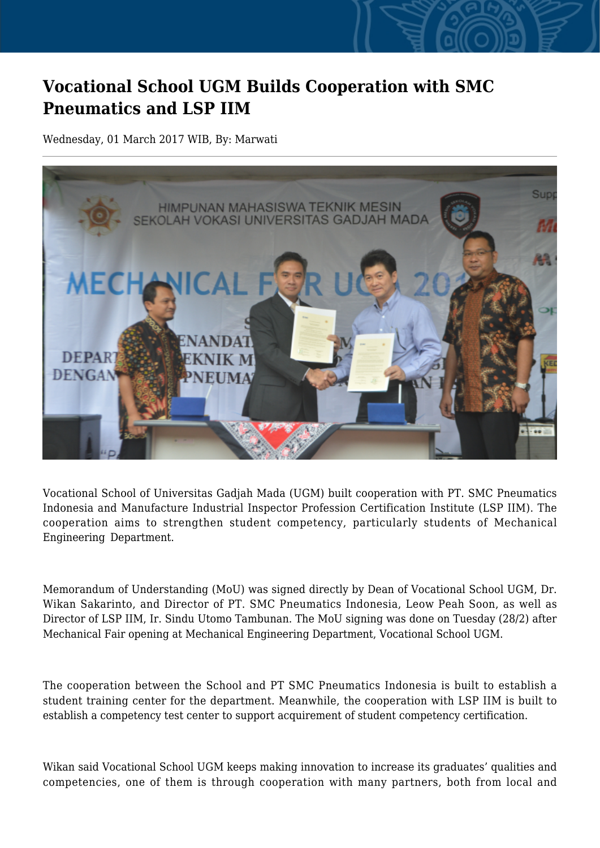## **Vocational School UGM Builds Cooperation with SMC Pneumatics and LSP IIM**

Wednesday, 01 March 2017 WIB, By: Marwati



Vocational School of Universitas Gadjah Mada (UGM) built cooperation with PT. SMC Pneumatics Indonesia and Manufacture Industrial Inspector Profession Certification Institute (LSP IIM). The cooperation aims to strengthen student competency, particularly students of Mechanical Engineering Department.

Memorandum of Understanding (MoU) was signed directly by Dean of Vocational School UGM, Dr. Wikan Sakarinto, and Director of PT. SMC Pneumatics Indonesia, Leow Peah Soon, as well as Director of LSP IIM, Ir. Sindu Utomo Tambunan. The MoU signing was done on Tuesday (28/2) after Mechanical Fair opening at Mechanical Engineering Department, Vocational School UGM.

The cooperation between the School and PT SMC Pneumatics Indonesia is built to establish a student training center for the department. Meanwhile, the cooperation with LSP IIM is built to establish a competency test center to support acquirement of student competency certification.

Wikan said Vocational School UGM keeps making innovation to increase its graduates' qualities and competencies, one of them is through cooperation with many partners, both from local and